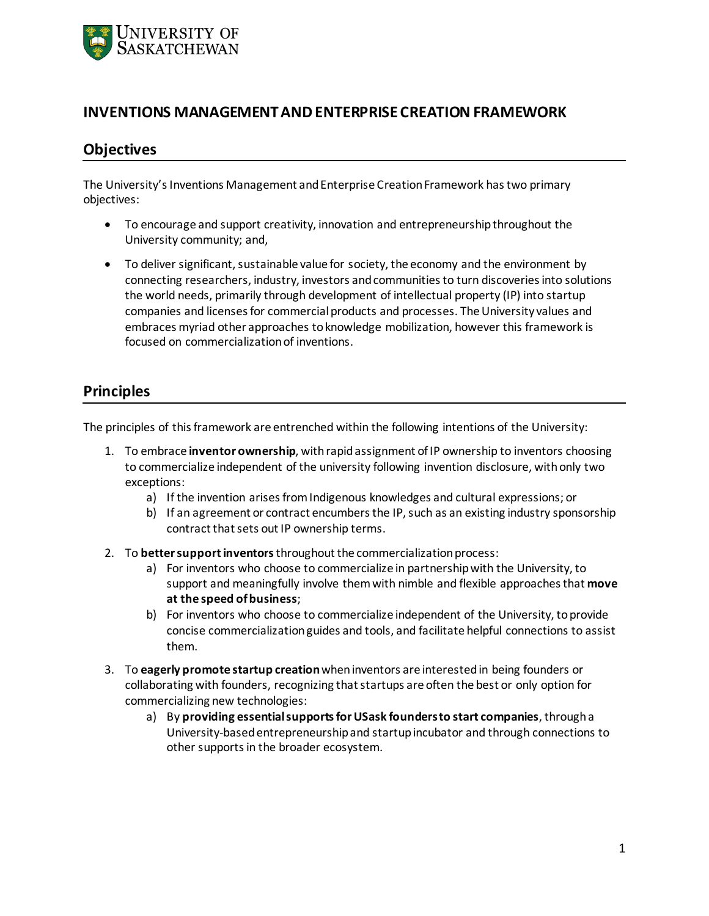

## **INVENTIONS MANAGEMENT AND ENTERPRISE CREATION FRAMEWORK**

## **Objectives**

The University's Inventions Management and Enterprise Creation Framework has two primary objectives:

- To encourage and support creativity, innovation and entrepreneurship throughout the University community; and,
- To deliver significant, sustainable value for society, the economy and the environment by connecting researchers, industry, investors and communities to turn discoveries into solutions the world needs, primarily through development of intellectual property (IP) into startup companies and licenses for commercial products and processes. The University values and embraces myriad other approaches to knowledge mobilization, however this framework is focused on commercialization of inventions.

## **Principles**

The principles of this framework are entrenched within the following intentions of the University:

- 1. To embrace **inventor ownership**, with rapid assignment of IP ownership to inventors choosing to commercialize independent of the university following invention disclosure, with only two exceptions:
	- a) If the invention arises from Indigenous knowledges and cultural expressions; or
	- b) If an agreement or contract encumbers the IP, such as an existing industry sponsorship contract that sets out IP ownership terms.
- 2. To **better support inventors**throughout the commercialization process:
	- a) For inventors who choose to commercialize in partnership with the University, to support and meaningfully involve them with nimble and flexible approaches that **move at the speed of business**;
	- b) For inventors who choose to commercialize independent of the University, to provide concise commercialization guides and tools, and facilitate helpful connections to assist them.
- 3. To **eagerly promote startup creation**when inventors are interested in being founders or collaborating with founders, recognizing that startups are often the best or only option for commercializing new technologies:
	- a) By **providing essentialsupports for USask founders to start companies**, through a University-based entrepreneurship and startup incubator and through connections to other supports in the broader ecosystem.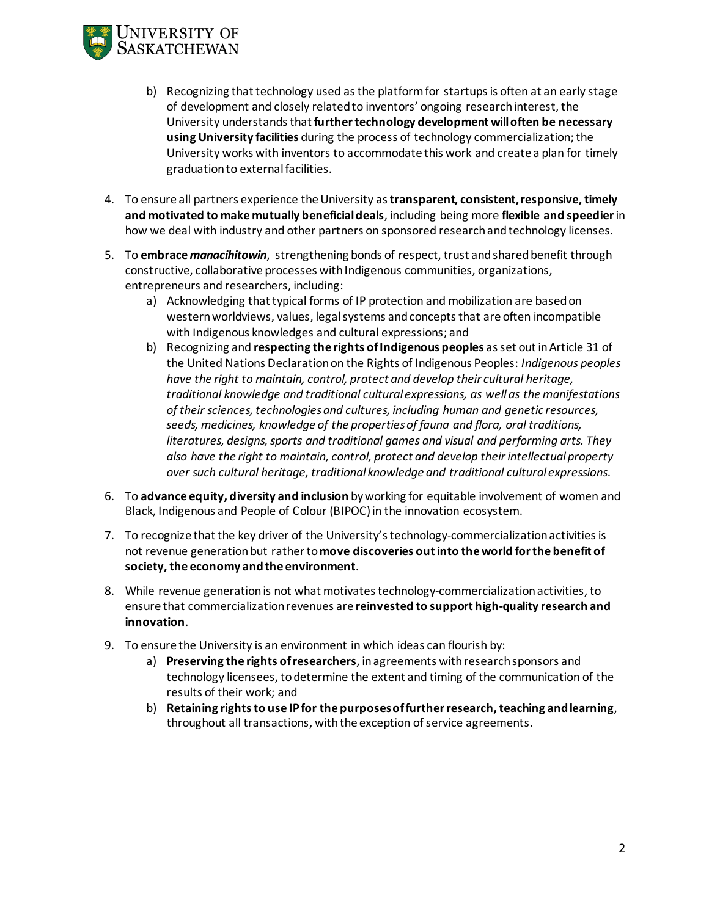

- b) Recognizing that technology used as the platform for startups is often at an early stage of development and closely related to inventors' ongoing research interest, the University understands that **further technology development will often be necessary using University facilities** during the process of technology commercialization; the University works with inventors to accommodate this work and create a plan for timely graduation to external facilities.
- 4. To ensure all partners experience the University as **transparent, consistent, responsive, timely and motivated to make mutually beneficial deals**, including being more **flexible and speedier**in how we deal with industry and other partners on sponsored research andtechnology licenses.
- 5. To **embrace** *manacihitowin*, strengthening bonds of respect, trust and shared benefit through constructive, collaborative processes with Indigenous communities, organizations, entrepreneurs and researchers, including:
	- a) Acknowledging that typical forms of IP protection and mobilization are based on western worldviews, values, legal systems and concepts that are often incompatible with Indigenous knowledges and cultural expressions; and
	- b) Recognizing and **respecting the rights of Indigenous peoples** as set out in Article 31 of the United Nations Declaration on the Rights of Indigenous Peoples: *Indigenous peoples have the right to maintain, control, protect and develop their cultural heritage, traditional knowledge and traditional cultural expressions, as well as the manifestations of their sciences, technologies and cultures, including human and genetic resources, seeds, medicines, knowledge of the properties of fauna and flora, oral traditions, literatures, designs, sports and traditional games and visual and performing arts. They also have the right to maintain, control, protect and develop their intellectual property over such cultural heritage, traditional knowledge and traditional cultural expressions*.
- 6. To **advance equity, diversity and inclusion** by working for equitable involvement of women and Black, Indigenous and People of Colour (BIPOC) in the innovation ecosystem.
- 7. To recognize that the key driver of the University'stechnology-commercialization activities is not revenue generation but rather to **move discoveries out into the world for the benefit of society, the economy and the environment**.
- 8. While revenue generation is not what motivates technology-commercialization activities, to ensure that commercialization revenues are **reinvested to support high-quality research and innovation**.
- 9. To ensure the University is an environment in which ideas can flourish by:
	- a) **Preserving the rights of researchers**, in agreements with research sponsors and technology licensees, to determine the extent and timing of the communication of the results of their work; and
	- b) **Retaining rights to use IP for the purposes of further research, teaching and learning**, throughout all transactions, with the exception of service agreements.